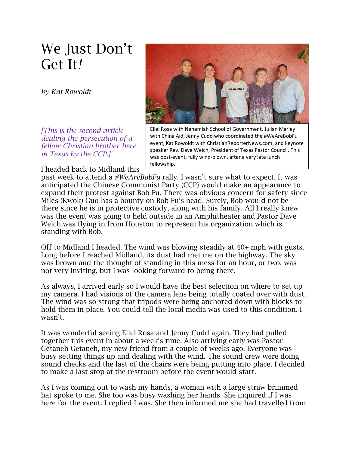## We Just Don't Get It*!*

*by Kat Rowoldt*

*[This is the second article dealing the persecution of a fellow Christian brother here in Texas by the CCP.]*

I headed back to Midland this



Eliel Rosa with Nehemiah School of Government, Julian Marley with China Aid, Jenny Cudd who coordinated the #WeAreBobFu event, Kat Rowoldt with ChristianReporterNews.com, and keynote speaker Rev. Dave Welch, President of Texas Pastor Council. This was post-event, fully wind-blown, after a very late lunch fellowship.

past week to attend a *#WeAreBobFu* rally. I wasn't sure what to expect. It was anticipated the Chinese Communist Party (CCP) would make an appearance to expand their protest against Bob Fu. There was obvious concern for safety since Miles (Kwok) Guo has a bounty on Bob Fu's head. Surely, Bob would not be there since he is in protective custody, along with his family. All I really knew was the event was going to held outside in an Amphitheater and Pastor Dave Welch was flying in from Houston to represent his organization which is standing with Bob.

Off to Midland I headed. The wind was blowing steadily at 40+ mph with gusts. Long before I reached Midland, its dust had met me on the highway. The sky was brown and the thought of standing in this mess for an hour, or two, was not very inviting, but I was looking forward to being there.

As always, I arrived early so I would have the best selection on where to set up my camera. I had visions of the camera lens being totally coated over with dust. The wind was so strong that tripods were being anchored down with blocks to hold them in place. You could tell the local media was used to this condition. I wasn't.

It was wonderful seeing Eliel Rosa and Jenny Cudd again. They had pulled together this event in about a week's time. Also arriving early was Pastor Getaneh Getaneh, my new friend from a couple of weeks ago. Everyone was busy setting things up and dealing with the wind. The sound crew were doing sound checks and the last of the chairs were being putting into place. I decided to make a last stop at the restroom before the event would start.

As I was coming out to wash my hands, a woman with a large straw brimmed hat spoke to me. She too was busy washing her hands. She inquired if I was here for the event. I replied I was. She then informed me she had travelled from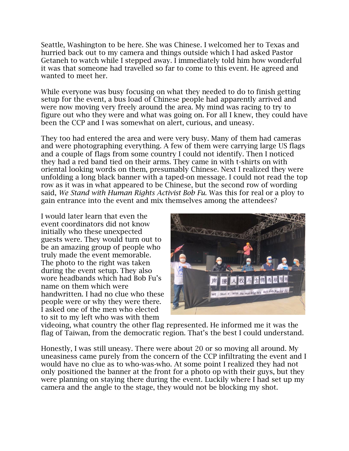Seattle, Washington to be here. She was Chinese. I welcomed her to Texas and hurried back out to my camera and things outside which I had asked Pastor Getaneh to watch while I stepped away. I immediately told him how wonderful it was that someone had travelled so far to come to this event. He agreed and wanted to meet her.

While everyone was busy focusing on what they needed to do to finish getting setup for the event, a bus load of Chinese people had apparently arrived and were now moving very freely around the area. My mind was racing to try to figure out who they were and what was going on. For all I knew, they could have been the CCP and I was somewhat on alert, curious, and uneasy.

They too had entered the area and were very busy. Many of them had cameras and were photographing everything. A few of them were carrying large US flags and a couple of flags from some country I could not identify. Then I noticed they had a red band tied on their arms. They came in with t-shirts on with oriental looking words on them, presumably Chinese. Next I realized they were unfolding a long black banner with a taped-on message. I could not read the top row as it was in what appeared to be Chinese, but the second row of wording said, *We Stand with Human Rights Activist Bob Fu.* Was this for real or a ploy to gain entrance into the event and mix themselves among the attendees?

I would later learn that even the event coordinators did not know initially who these unexpected guests were. They would turn out to be an amazing group of people who truly made the event memorable. The photo to the right was taken during the event setup. They also wore headbands which had Bob Fu's name on them which were handwritten. I had no clue who these people were or why they were there. I asked one of the men who elected to sit to my left who was with them



videoing, what country the other flag represented. He informed me it was the flag of Taiwan, from the democratic region. That's the best I could understand.

Honestly, I was still uneasy. There were about 20 or so moving all around. My uneasiness came purely from the concern of the CCP infiltrating the event and I would have no clue as to who-was-who. At some point I realized they had not only positioned the banner at the front for a photo op with their guys, but they were planning on staying there during the event. Luckily where I had set up my camera and the angle to the stage, they would not be blocking my shot.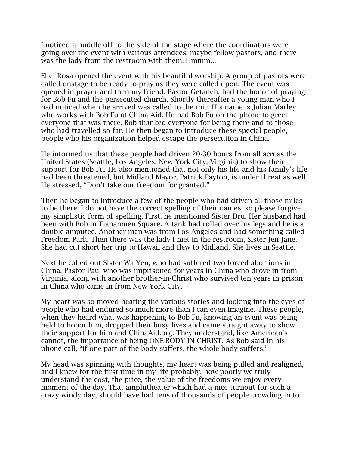I noticed a huddle off to the side of the stage where the coordinators were going over the event with various attendees, maybe fellow pastors, and there was the lady from the restroom with them. Hmmm….

Eliel Rosa opened the event with his beautiful worship. A group of pastors were called onstage to be ready to pray as they were called upon. The event was opened in prayer and then my friend, Pastor Getaneh, had the honor of praying for Bob Fu and the persecuted church. Shortly thereafter a young man who I had noticed when he arrived was called to the mic. His name is Julian Marley who works with Bob Fu at China Aid. He had Bob Fu on the phone to greet everyone that was there. Bob thanked everyone for being there and to those who had travelled so far. He then began to introduce these special people, people who his organization helped escape the persecution in China.

He informed us that these people had driven 20-30 hours from all across the United States (Seattle, Los Angeles, New York City, Virginia) to show their support for Bob Fu. He also mentioned that not only his life and his family's life had been threatened, but Midland Mayor, Patrick Payton, is under threat as well. He stressed, "Don't take our freedom for granted."

Then he began to introduce a few of the people who had driven all those miles to be there. I do not have the correct spelling of their names, so please forgive my simplistic form of spelling. First, he mentioned Sister Dru. Her husband had been with Bob in Tiananmen Square. A tank had rolled over his legs and he is a double amputee. Another man was from Los Angeles and had something called Freedom Park. Then there was the lady I met in the restroom, Sister Jen Jane. She had cut short her trip to Hawaii and flew to Midland. She lives in Seattle.

Next he called out Sister Wa Yen, who had suffered two forced abortions in China. Pastor Paul who was imprisoned for years in China who drove in from Virginia, along with another brother-in-Christ who survived ten years in prison in China who came in from New York City.

My heart was so moved hearing the various stories and looking into the eyes of people who had endured so much more than I can even imagine. These people, when they heard what was happening to Bob Fu, knowing an event was being held to honor him, dropped their busy lives and came straight away to show their support for him and ChinaAid.org. They understand, like American's cannot, the importance of being ONE BODY IN CHRIST. As Bob said in his phone call, "if one part of the body suffers, the whole body suffers."

My head was spinning with thoughts, my heart was being pulled and realigned, and I knew for the first time in my life probably, how poorly we truly understand the cost, the price, the value of the freedoms we enjoy every moment of the day. That amphitheater which had a nice turnout for such a crazy windy day, should have had tens of thousands of people crowding in to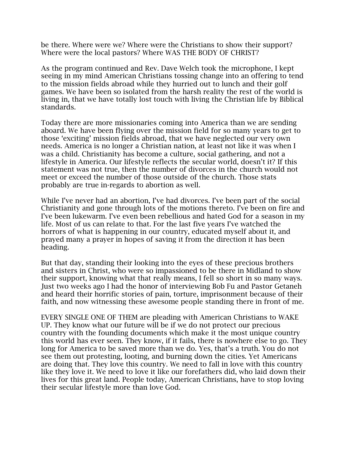be there. Where were we? Where were the Christians to show their support? Where were the local pastors? Where WAS THE BODY OF CHRIST?

As the program continued and Rev. Dave Welch took the microphone, I kept seeing in my mind American Christians tossing change into an offering to tend to the mission fields abroad while they hurried out to lunch and their golf games. We have been so isolated from the harsh reality the rest of the world is living in, that we have totally lost touch with living the Christian life by Biblical standards.

Today there are more missionaries coming into America than we are sending aboard. We have been flying over the mission field for so many years to get to those 'exciting' mission fields abroad, that we have neglected our very own needs. America is no longer a Christian nation, at least not like it was when I was a child. Christianity has become a culture, social gathering, and not a lifestyle in America. Our lifestyle reflects the secular world, doesn't it? If this statement was not true, then the number of divorces in the church would not meet or exceed the number of those outside of the church. Those stats probably are true in-regards to abortion as well.

While I've never had an abortion, I've had divorces. I've been part of the social Christianity and gone through lots of the motions thereto. I've been on fire and I've been lukewarm. I've even been rebellious and hated God for a season in my life. Most of us can relate to that. For the last five years I've watched the horrors of what is happening in our country, educated myself about it, and prayed many a prayer in hopes of saving it from the direction it has been heading.

But that day, standing their looking into the eyes of these precious brothers and sisters in Christ, who were so impassioned to be there in Midland to show their support, knowing what that really means, I fell so short in so many ways. Just two weeks ago I had the honor of interviewing Bob Fu and Pastor Getaneh and heard their horrific stories of pain, torture, imprisonment because of their faith, and now witnessing these awesome people standing there in front of me.

EVERY SINGLE ONE OF THEM are pleading with American Christians to WAKE UP. They know what our future will be if we do not protect our precious country with the founding documents which make it the most unique country this world has ever seen. They know, if it fails, there is nowhere else to go. They long for America to be saved more than we do. Yes, that's a truth. You do not see them out protesting, looting, and burning down the cities. Yet Americans are doing that. They love this country. We need to fall in love with this country like they love it. We need to love it like our forefathers did, who laid down their lives for this great land. People today, American Christians, have to stop loving their secular lifestyle more than love God.